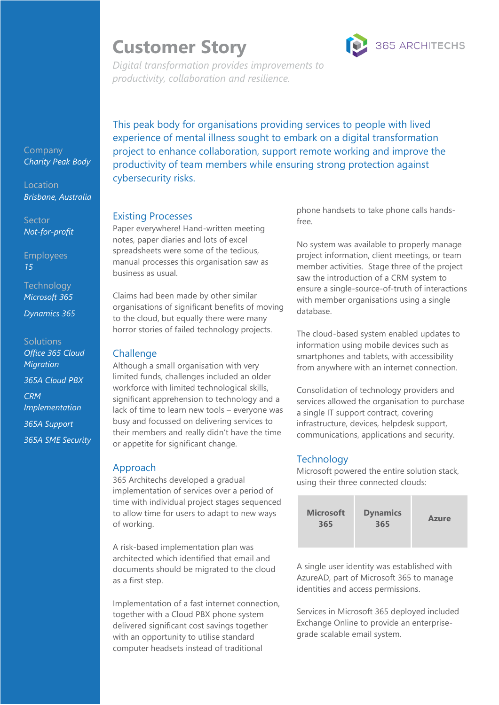# **Customer Story**



*Digital transformation provides improvements to productivity, collaboration and resilience.*

This peak body for organisations providing services to people with lived experience of mental illness sought to embark on a digital transformation project to enhance collaboration, support remote working and improve the productivity of team members while ensuring strong protection against cybersecurity risks.

## Existing Processes

Paper everywhere! Hand-written meeting notes, paper diaries and lots of excel spreadsheets were some of the tedious, manual processes this organisation saw as business as usual.

Claims had been made by other similar organisations of significant benefits of moving to the cloud, but equally there were many horror stories of failed technology projects.

# **Challenge**

Although a small organisation with very limited funds, challenges included an older workforce with limited technological skills, significant apprehension to technology and a lack of time to learn new tools – everyone was busy and focussed on delivering services to their members and really didn't have the time or appetite for significant change.

# Approach

365 Architechs developed a gradual implementation of services over a period of time with individual project stages sequenced to allow time for users to adapt to new ways of working.

A risk-based implementation plan was architected which identified that email and documents should be migrated to the cloud as a first step.

Implementation of a fast internet connection, together with a Cloud PBX phone system delivered significant cost savings together with an opportunity to utilise standard computer headsets instead of traditional

phone handsets to take phone calls handsfree.

No system was available to properly manage project information, client meetings, or team member activities. Stage three of the project saw the introduction of a CRM system to ensure a single-source-of-truth of interactions with member organisations using a single database.

The cloud-based system enabled updates to information using mobile devices such as smartphones and tablets, with accessibility from anywhere with an internet connection.

Consolidation of technology providers and services allowed the organisation to purchase a single IT support contract, covering infrastructure, devices, helpdesk support, communications, applications and security.

# **Technology**

Microsoft powered the entire solution stack, using their three connected clouds:



A single user identity was established with AzureAD, part of Microsoft 365 to manage identities and access permissions.

Services in Microsoft 365 deployed included Exchange Online to provide an enterprisegrade scalable email system.

Company *Charity Peak Body*

Location *Brisbane, Australia* 

Sector *Not-for-profit*

Employees *15*

**Technology** *Microsoft 365*

*Dynamics 365*

#### Solutions

*Office 365 Cloud Migration 365A Cloud PBX CRM Implementation 365A Support 365A SME Security*